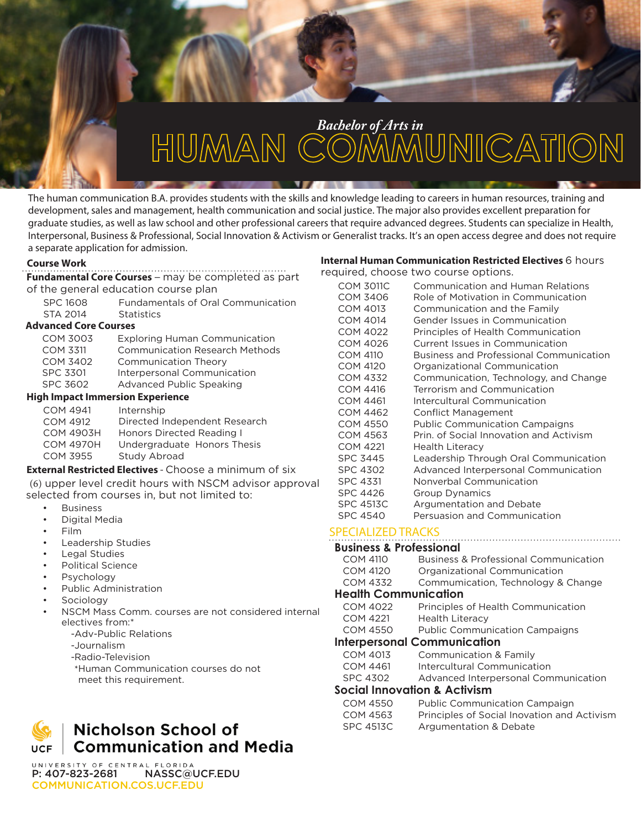

# *Bachelor of Arts in*<br>HUMAN COMMUNICATION

The human communication B.A. provides students with the skills and knowledge leading to careers in human resources, training and development, sales and management, health communication and social justice. The major also provides excellent preparation for graduate studies, as well as law school and other professional careers that require advanced degrees. Students can specialize in Health, Interpersonal, Business & Professional, Social Innovation & Activism or Generalist tracks. It's an open access degree and does not require a separate application for admission.

## **Course Work**

# **Fundamental Core Courses** – may be completed as part of the general education course plan

| <b>SPC 1608</b>              | <b>Fundamentals of Oral Communication</b> |
|------------------------------|-------------------------------------------|
| <b>STA 2014</b>              | <b>Statistics</b>                         |
| <b>Advanced Core Courses</b> |                                           |
| <b>COM 3003</b>              | <b>Exploring Human Communication</b>      |
| <b>COM 3311</b>              | <b>Communication Research Methods</b>     |
| <b>COM 3402</b>              | <b>Communication Theory</b>               |
| <b>SPC 3301</b>              | Interpersonal Communication               |
| <b>SPC 3602</b>              | Advanced Public Speaking                  |

## **High Impact Immersion Experience**

| <b>COM 4941</b>  | Internship                    |
|------------------|-------------------------------|
| <b>COM 4912</b>  | Directed Independent Research |
| <b>COM 4903H</b> | Honors Directed Reading I     |
| <b>COM 4970H</b> | Undergraduate Honors Thesis   |
| <b>COM 3955</b>  | Study Abroad                  |
|                  |                               |

## **External Restricted Electives** - Choose a minimum of six (6) upper level credit hours with NSCM advisor approval selected from courses in, but not limited to:

- **Business**
- Digital Media
- Film
- Leadership Studies
- Legal Studies
- Political Science
- **Psychology**
- Public Administration
- **Sociology**
- NSCM Mass Comm. courses are not considered internal electives from:\*
	- -Adv-Public Relations
	- -Journalism
	- -Radio-Television
	- \*Human Communication courses do not meet this requirement.



UNIVERSITY OF CENTRAL FLORIDA P: 407-823-2681 NASSC@UCF.EDU COMMUNICATION.COS.UCF.EDU

#### **Internal Human Communication Restricted Electives** 6 hours required, choose two course options.

| <b>COM 3011C</b> | <b>Communication and Human Relations</b>       |
|------------------|------------------------------------------------|
| <b>COM 3406</b>  | Role of Motivation in Communication            |
| <b>COM 4013</b>  | Communication and the Family                   |
| COM 4014         | Gender Issues in Communication                 |
| COM 4022         | Principles of Health Communication             |
| COM 4026         | Current Issues in Communication                |
| <b>COM 4110</b>  | <b>Business and Professional Communication</b> |
| <b>COM 4120</b>  | Organizational Communication                   |
| <b>COM 4332</b>  | Communication, Technology, and Change          |
| COM 4416         | Terrorism and Communication                    |
| COM 4461         | Intercultural Communication                    |
| <b>COM 4462</b>  | <b>Conflict Management</b>                     |
| COM 4550         | <b>Public Communication Campaigns</b>          |
| COM 4563         | Prin. of Social Innovation and Activism        |
| <b>COM 4221</b>  | <b>Health Literacy</b>                         |
| <b>SPC 3445</b>  | Leadership Through Oral Communication          |
| <b>SPC 4302</b>  | Advanced Interpersonal Communication           |
| <b>SPC 4331</b>  | Nonverbal Communication                        |
| <b>SPC 4426</b>  | Group Dynamics                                 |
| <b>SPC 4513C</b> | Argumentation and Debate                       |
| <b>SPC 4540</b>  | Persuasion and Communication                   |

# SPECIALIZED TRACKS

| <b>Business &amp; Professional</b>      |                                                  |  |
|-----------------------------------------|--------------------------------------------------|--|
| <b>COM 4110</b>                         | <b>Business &amp; Professional Communication</b> |  |
| COM 4120                                | Organizational Communication                     |  |
| <b>COM 4332</b>                         | Commumication, Technology & Change               |  |
| <b>Health Communication</b>             |                                                  |  |
| <b>COM 4022</b>                         | Principles of Health Communication               |  |
| <b>COM 4221</b>                         | <b>Health Literacy</b>                           |  |
| <b>COM 4550</b>                         | <b>Public Communication Campaigns</b>            |  |
| <b>Interpersonal Communication</b>      |                                                  |  |
| COM 4013                                | Communication & Family                           |  |
| <b>COM 4461</b>                         | Intercultural Communication                      |  |
| <b>SPC 4302</b>                         | Advanced Interpersonal Communication             |  |
| <b>Social Innovation &amp; Activism</b> |                                                  |  |
| $COM$ $AERO$                            | <b>Dublic Communication Campaign</b>             |  |

| COM 4550  | <b>Public Communication Campaign</b>        |
|-----------|---------------------------------------------|
| COM 4563  | Principles of Social Inovation and Activism |
| SPC 4513C | Argumentation & Debate                      |